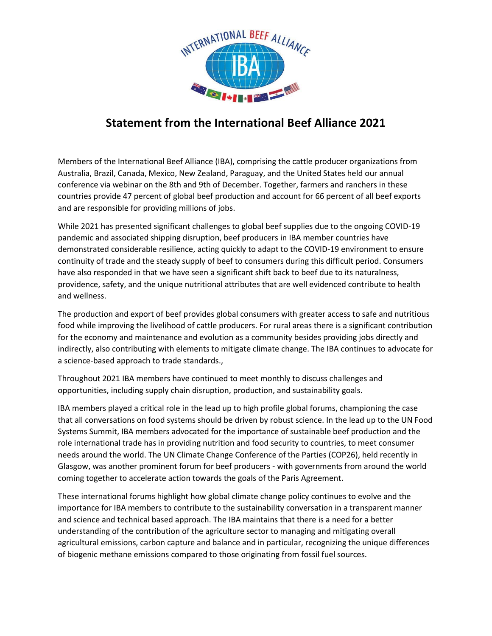

## **Statement from the International Beef Alliance 2021**

Members of the International Beef Alliance (IBA), comprising the cattle producer organizations from Australia, Brazil, Canada, Mexico, New Zealand, Paraguay, and the United States held our annual conference via webinar on the 8th and 9th of December. Together, farmers and ranchers in these countries provide 47 percent of global beef production and account for 66 percent of all beef exports and are responsible for providing millions of jobs.

While 2021 has presented significant challenges to global beef supplies due to the ongoing COVID-19 pandemic and associated shipping disruption, beef producers in IBA member countries have demonstrated considerable resilience, acting quickly to adapt to the COVID-19 environment to ensure continuity of trade and the steady supply of beef to consumers during this difficult period. Consumers have also responded in that we have seen a significant shift back to beef due to its naturalness, providence, safety, and the unique nutritional attributes that are well evidenced contribute to health and wellness.

The production and export of beef provides global consumers with greater access to safe and nutritious food while improving the livelihood of cattle producers. For rural areas there is a significant contribution for the economy and maintenance and evolution as a community besides providing jobs directly and indirectly, also contributing with elements to mitigate climate change. The IBA continues to advocate for a science-based approach to trade standards.,

Throughout 2021 IBA members have continued to meet monthly to discuss challenges and opportunities, including supply chain disruption, production, and sustainability goals.

IBA members played a critical role in the lead up to high profile global forums, championing the case that all conversations on food systems should be driven by robust science. In the lead up to the UN Food Systems Summit, IBA members advocated for the importance of sustainable beef production and the role international trade has in providing nutrition and food security to countries, to meet consumer needs around the world. The UN Climate Change Conference of the Parties (COP26), held recently in Glasgow, was another prominent forum for beef producers - with governments from around the world coming together to accelerate action towards the goals of the Paris Agreement.

These international forums highlight how global climate change policy continues to evolve and the importance for IBA members to contribute to the sustainability conversation in a transparent manner and science and technical based approach. The IBA maintains that there is a need for a better understanding of the contribution of the agriculture sector to managing and mitigating overall agricultural emissions, carbon capture and balance and in particular, recognizing the unique differences of biogenic methane emissions compared to those originating from fossil fuel sources.